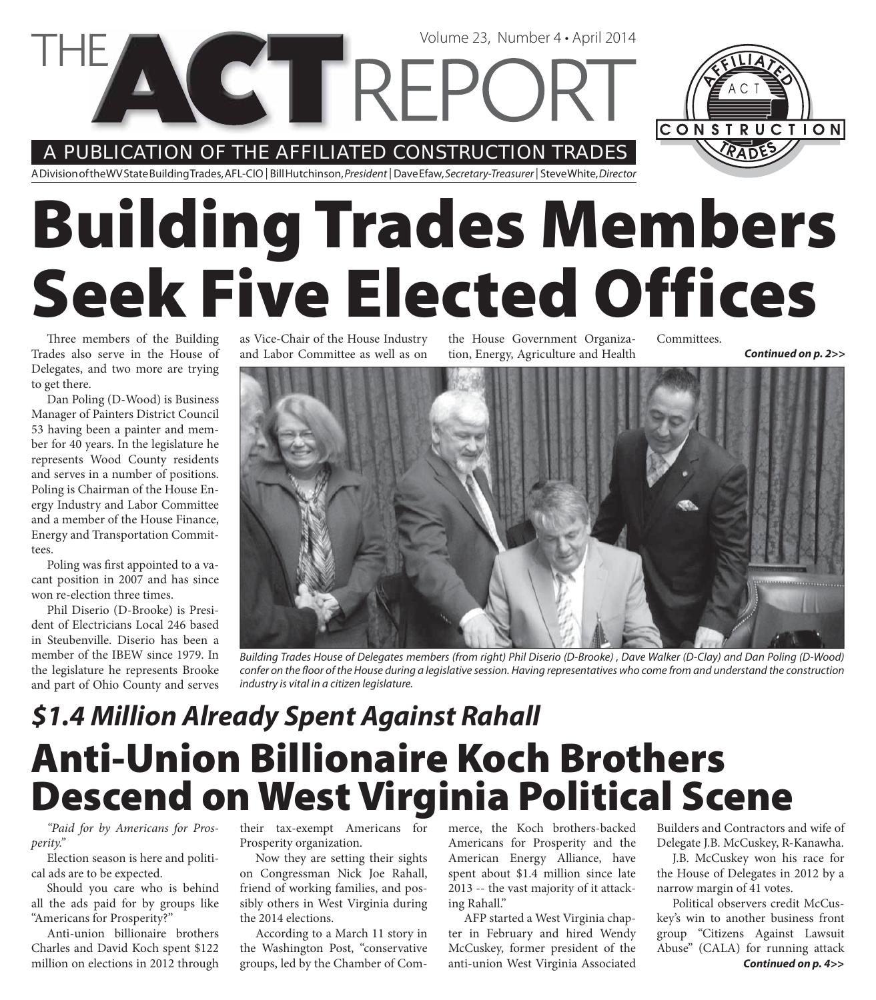A PUBLICATION OF THE AFFILIATED CONSTRUCTION TRADES

**VCT REPC** 

A Division of the WV State Building Trades, AFL-CIO | Bill Hutchinson, President | Dave Efaw, Secretary-Treasurer | Steve White, Director

# **Building Trades Members Seek Five Elected Offices**

Three members of the Building Trades also serve in the House of Delegates, and two more are trying to get there.

Dan Poling (D-Wood) is Business Manager of Painters District Council 53 having been a painter and member for 40 years. In the legislature he represents Wood County residents and serves in a number of positions. Poling is Chairman of the House Energy Industry and Labor Committee and a member of the House Finance, Energy and Transportation Committees.

Poling was first appointed to a vacant position in 2007 and has since won re-election three times.

Phil Diserio (D-Brooke) is President of Electricians Local 246 based in Steubenville. Diserio has been a member of the IBEW since 1979. In the legislature he represents Brooke and part of Ohio County and serves

as Vice-Chair of the House Industry and Labor Committee as well as on

the House Government Organization, Energy, Agriculture and Health

Volume 23, Number 4 • April 2014

Committees. *Continued on p. 2>>*



Building Trades House of Delegates members (from right) Phil Diserio (D-Brooke) , Dave Walker (D-Clay) and Dan Poling (D-Wood) confer on the floor of the House during a legislative session. Having representatives who come from and understand the construction industry is vital in a citizen legislature.

#### **Anti-Union Billionaire Koch Brothers Descend on West Virginia Political Scene** *\$1.4 Million Already Spent Against Rahall*

*"Paid for by Americans for Prosperity."*

Election season is here and political ads are to be expected.

Should you care who is behind all the ads paid for by groups like "Americans for Prosperity?"

Anti-union billionaire brothers Charles and David Koch spent \$122 million on elections in 2012 through their tax-exempt Americans for Prosperity organization.

Now they are setting their sights on Congressman Nick Joe Rahall, friend of working families, and possibly others in West Virginia during the 2014 elections.

According to a March 11 story in the Washington Post, "conservative groups, led by the Chamber of Commerce, the Koch brothers-backed Americans for Prosperity and the American Energy Alliance, have spent about \$1.4 million since late 2013 -- the vast majority of it attacking Rahall."

AFP started a West Virginia chapter in February and hired Wendy McCuskey, former president of the anti-union West Virginia Associated

Builders and Contractors and wife of Delegate J.B. McCuskey, R-Kanawha.

J.B. McCuskey won his race for the House of Delegates in 2012 by a narrow margin of 41 votes.

Political observers credit McCuskey's win to another business front group "Citizens Against Lawsuit Abuse" (CALA) for running attack *Continued on p. 4>>*

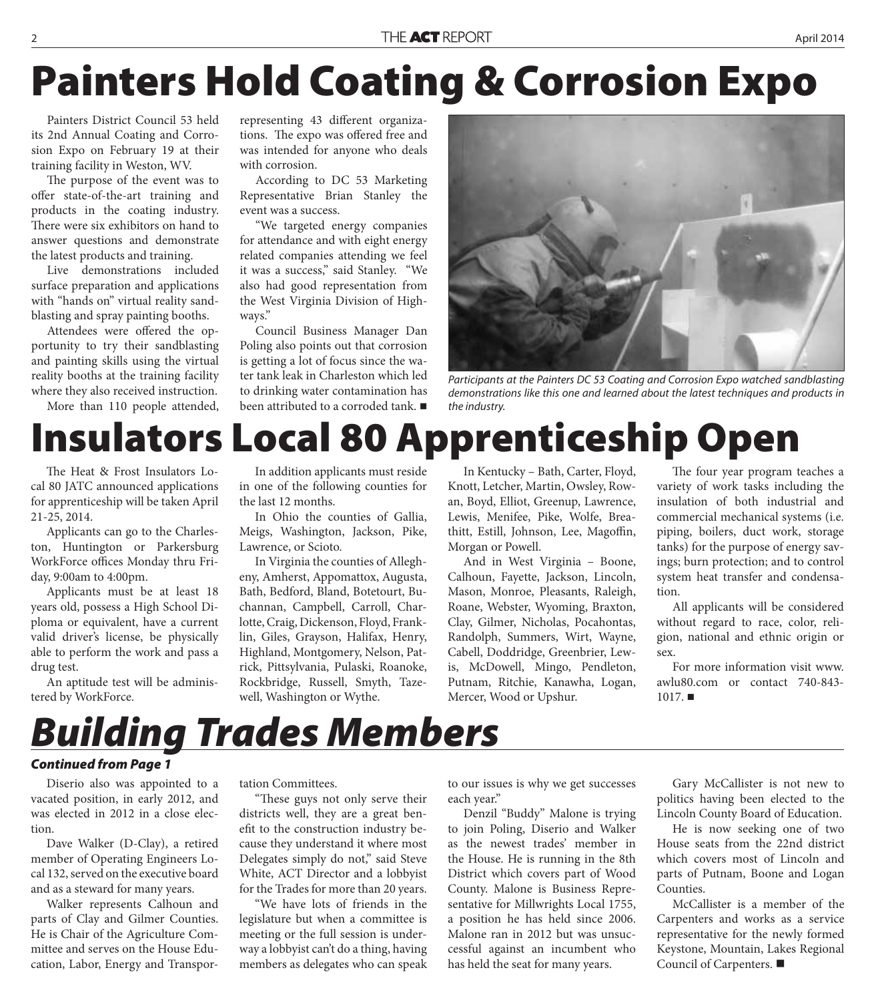## **Painters Hold Coating & Corrosion Expo**

Painters District Council 53 held its 2nd Annual Coating and Corrosion Expo on February 19 at their training facility in Weston, WV.

The purpose of the event was to offer state-of-the-art training and products in the coating industry. There were six exhibitors on hand to answer questions and demonstrate the latest products and training.

Live demonstrations included surface preparation and applications with "hands on" virtual reality sandblasting and spray painting booths.

Attendees were offered the opportunity to try their sandblasting and painting skills using the virtual reality booths at the training facility where they also received instruction.

More than 110 people attended,

representing 43 different organizations. The expo was offered free and was intended for anyone who deals with corrosion.

According to DC 53 Marketing Representative Brian Stanley the event was a success.

"We targeted energy companies for attendance and with eight energy related companies attending we feel it was a success," said Stanley. "We also had good representation from the West Virginia Division of Highways."

Council Business Manager Dan Poling also points out that corrosion is getting a lot of focus since the water tank leak in Charleston which led to drinking water contamination has been attributed to a corroded tank.



Participants at the Painters DC 53 Coating and Corrosion Expo watched sandblasting demonstrations like this one and learned about the latest techniques and products in the industry.

#### **Insulators Local 80 Apprenticeship Open**

The Heat & Frost Insulators Local 80 JATC announced applications for apprenticeship will be taken April 21-25, 2014.

Applicants can go to the Charleston, Huntington or Parkersburg WorkForce offices Monday thru Friday, 9:00am to 4:00pm.

Applicants must be at least 18 years old, possess a High School Diploma or equivalent, have a current valid driver's license, be physically able to perform the work and pass a drug test.

An aptitude test will be administered by WorkForce.

In addition applicants must reside in one of the following counties for the last 12 months.

In Ohio the counties of Gallia, Meigs, Washington, Jackson, Pike, Lawrence, or Scioto.

In Virginia the counties of Allegheny, Amherst, Appomattox, Augusta, Bath, Bedford, Bland, Botetourt, Buchannan, Campbell, Carroll, Charlotte, Craig, Dickenson, Floyd, Franklin, Giles, Grayson, Halifax, Henry, Highland, Montgomery, Nelson, Patrick, Pittsylvania, Pulaski, Roanoke, Rockbridge, Russell, Smyth, Tazewell, Washington or Wythe.

In Kentucky – Bath, Carter, Floyd, Knott, Letcher, Martin, Owsley, Rowan, Boyd, Elliot, Greenup, Lawrence, Lewis, Menifee, Pike, Wolfe, Breathitt, Estill, Johnson, Lee, Magoffin, Morgan or Powell.

And in West Virginia – Boone, Calhoun, Fayette, Jackson, Lincoln, Mason, Monroe, Pleasants, Raleigh, Roane, Webster, Wyoming, Braxton, Clay, Gilmer, Nicholas, Pocahontas, Randolph, Summers, Wirt, Wayne, Cabell, Doddridge, Greenbrier, Lewis, McDowell, Mingo, Pendleton, Putnam, Ritchie, Kanawha, Logan, Mercer, Wood or Upshur.

The four year program teaches a variety of work tasks including the insulation of both industrial and commercial mechanical systems (i.e. piping, boilers, duct work, storage tanks) for the purpose of energy savings; burn protection; and to control system heat transfer and condensation.

All applicants will be considered without regard to race, color, religion, national and ethnic origin or sex.

For more information visit www. awlu80.com or contact 740-843-  $1017.$ 

#### *Building Trades Members*

#### *Continued from Page 1*

Diserio also was appointed to a vacated position, in early 2012, and was elected in 2012 in a close election.

Dave Walker (D-Clay), a retired member of Operating Engineers Local 132, served on the executive board and as a steward for many years.

Walker represents Calhoun and parts of Clay and Gilmer Counties. He is Chair of the Agriculture Committee and serves on the House Education, Labor, Energy and Transportation Committees.

"These guys not only serve their districts well, they are a great benefit to the construction industry because they understand it where most Delegates simply do not," said Steve White, ACT Director and a lobbyist for the Trades for more than 20 years.

"We have lots of friends in the legislature but when a committee is meeting or the full session is underway a lobbyist can't do a thing, having members as delegates who can speak

to our issues is why we get successes each year."

Denzil "Buddy" Malone is trying to join Poling, Diserio and Walker as the newest trades' member in the House. He is running in the 8th District which covers part of Wood County. Malone is Business Representative for Millwrights Local 1755, a position he has held since 2006. Malone ran in 2012 but was unsuccessful against an incumbent who has held the seat for many years.

Gary McCallister is not new to politics having been elected to the Lincoln County Board of Education.

He is now seeking one of two House seats from the 22nd district which covers most of Lincoln and parts of Putnam, Boone and Logan Counties.

McCallister is a member of the Carpenters and works as a service representative for the newly formed Keystone, Mountain, Lakes Regional Council of Carpenters.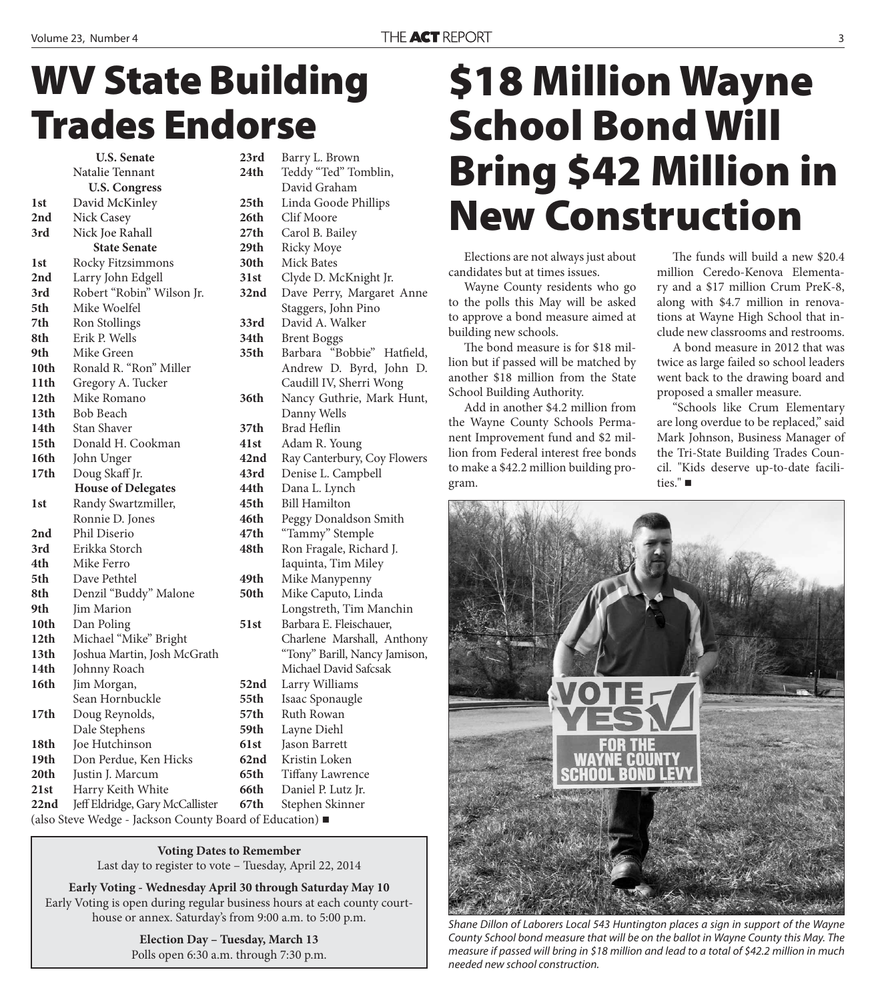### **WV State Building Trades Endorse**

**U.S. Senate**  Natalie Tennant **U.S. Congress 1st** David McKinley **2nd** Nick Casey **3rd** Nick Joe Rahall **State Senate 1st** Rocky Fitzsimmons **2nd** Larry John Edgell **3rd** Robert "Robin" Wilson Jr. **5th** Mike Woelfel **7th** Ron Stollings **8th** Erik P. Wells **9th** Mike Green **10th** Ronald R. "Ron" Miller **11th** Gregory A. Tucker **12th** Mike Romano **13th** Bob Beach **14th** Stan Shaver **15th** Donald H. Cookman **16th** John Unger **17th** Doug Skaff Jr. **House of Delegates 1st** Randy Swartzmiller, Ronnie D. Jones **2nd** Phil Diserio **3rd** Erikka Storch **4th** Mike Ferro **5th** Dave Pethtel **8th** Denzil "Buddy" Malone **9th** Jim Marion **10th** Dan Poling **12th** Michael "Mike" Bright **13th** Joshua Martin, Josh McGrath **14th** Johnny Roach 16th Jim Morgan, Sean Hornbuckle **17th** Doug Reynolds, Dale Stephens **18th** Joe Hutchinson **19th** Don Perdue, Ken Hicks **20th** Justin J. Marcum **21st** Harry Keith White **22nd** Jeff Eldridge, Gary McCallister

**23rd** Barry L. Brown **24th** Teddy "Ted" Tomblin, David Graham **25th** Linda Goode Phillips **26th** Clif Moore **27th** Carol B. Bailey **29th** Ricky Moye **30th** Mick Bates **31st** Clyde D. McKnight Jr. **32nd** Dave Perry, Margaret Anne Staggers, John Pino **33rd** David A. Walker **34th** Brent Boggs 35th Barbara "Bobbie" Hatfield, Andrew D. Byrd, John D. Caudill IV, Sherri Wong **36th** Nancy Guthrie, Mark Hunt, Danny Wells 37th Brad Heflin **41st** Adam R. Young **42nd** Ray Canterbury, Coy Flowers **43rd** Denise L. Campbell **44th** Dana L. Lynch **45th** Bill Hamilton **46th** Peggy Donaldson Smith **47th** "Tammy" Stemple **48th** Ron Fragale, Richard J. Iaquinta, Tim Miley<br>**49th** Mike Manypenny **49th** Mike Manypenny **50th** Mike Caputo, Linda Longstreth, Tim Manchin **51st** Barbara E. Fleischauer, Charlene Marshall, Anthony "Tony" Barill, Nancy Jamison, Michael David Safcsak **52nd** Larry Williams **55th** Isaac Sponaugle **57th** Ruth Rowan **59th** Layne Diehl **61st** Jason Barrett **62nd** Kristin Loken **65th** Tiffany Lawrence **66th** Daniel P. Lutz Jr. **67th** Stephen Skinner

(also Steve Wedge - Jackson County Board of Education)

**Voting Dates to Remember** Last day to register to vote – Tuesday, April 22, 2014

**Early Voting - Wednesday April 30 through Saturday May 10** Early Voting is open during regular business hours at each county courthouse or annex. Saturday's from 9:00 a.m. to 5:00 p.m.

> **Election Day – Tuesday, March 13** Polls open 6:30 a.m. through 7:30 p.m.

### **\$18 Million Wayne School Bond Will Bring \$42 Million in New Construction**

Elections are not always just about candidates but at times issues.

Wayne County residents who go to the polls this May will be asked to approve a bond measure aimed at building new schools.

The bond measure is for \$18 million but if passed will be matched by another \$18 million from the State School Building Authority.

Add in another \$4.2 million from the Wayne County Schools Permanent Improvement fund and \$2 million from Federal interest free bonds to make a \$42.2 million building program.

The funds will build a new \$20.4 million Ceredo-Kenova Elementary and a \$17 million Crum PreK-8, along with \$4.7 million in renovations at Wayne High School that include new classrooms and restrooms.

A bond measure in 2012 that was twice as large failed so school leaders went back to the drawing board and proposed a smaller measure.

"Schools like Crum Elementary are long overdue to be replaced," said Mark Johnson, Business Manager of the Tri-State Building Trades Council. "Kids deserve up-to-date facilities." ■



Shane Dillon of Laborers Local 543 Huntington places a sign in support of the Wayne County School bond measure that will be on the ballot in Wayne County this May. The measure if passed will bring in \$18 million and lead to a total of \$42.2 million in much needed new school construction.